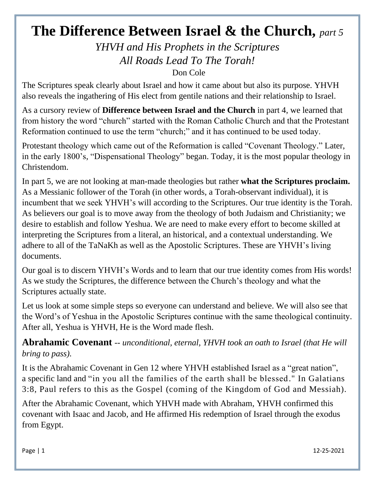## **The Difference Between Israel & the Church,** *part 5*

*YHVH and His Prophets in the Scriptures All Roads Lead To The Torah!*

Don Cole

The Scriptures speak clearly about Israel and how it came about but also its purpose. YHVH also reveals the ingathering of His elect from gentile nations and their relationship to Israel.

As a cursory review of **Difference between Israel and the Church** in part 4, we learned that from history the word "church" started with the Roman Catholic Church and that the Protestant Reformation continued to use the term "church;" and it has continued to be used today.

Protestant theology which came out of the Reformation is called "Covenant Theology." Later, in the early 1800's, "Dispensational Theology" began. Today, it is the most popular theology in Christendom.

In part 5, we are not looking at man-made theologies but rather **what the Scriptures proclaim.** As a Messianic follower of the Torah (in other words, a Torah-observant individual), it is incumbent that we seek YHVH's will according to the Scriptures. Our true identity is the Torah. As believers our goal is to move away from the theology of both Judaism and Christianity; we desire to establish and follow Yeshua. We are need to make every effort to become skilled at interpreting the Scriptures from a literal, an historical, and a contextual understanding. We adhere to all of the TaNaKh as well as the Apostolic Scriptures. These are YHVH's living documents.

Our goal is to discern YHVH's Words and to learn that our true identity comes from His words! As we study the Scriptures, the difference between the Church's theology and what the Scriptures actually state.

Let us look at some simple steps so everyone can understand and believe. We will also see that the Word's of Yeshua in the Apostolic Scriptures continue with the same theological continuity. After all, Yeshua is YHVH, He is the Word made flesh.

**Abrahamic Covenant** -- *unconditional, eternal, YHVH took an oath to Israel (that He will bring to pass).*

It is the Abrahamic Covenant in Gen 12 where YHVH established Israel as a "great nation", a specific land and "in you all the families of the earth shall be blessed." In Galatians 3:8, Paul refers to this as the Gospel (coming of the Kingdom of God and Messiah).

After the Abrahamic Covenant, which YHVH made with Abraham, YHVH confirmed this covenant with Isaac and Jacob, and He affirmed His redemption of Israel through the exodus from Egypt.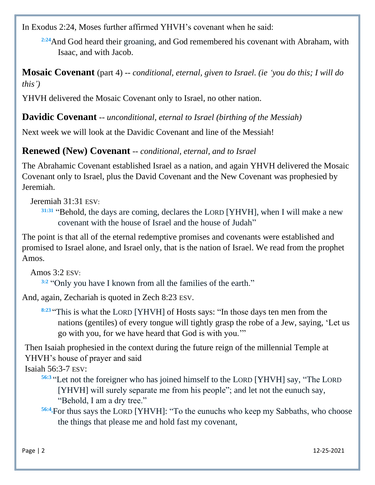In Exodus 2:24, Moses further affirmed YHVH's covenant when he said:

<sup>2:24</sup>And God heard their groaning, and God remembered his covenant with Abraham, with Isaac, and with Jacob.

**Mosaic Covenant** (part 4) -- *conditional, eternal, given to Israel. (ie 'you do this; I will do this')*

YHVH delivered the Mosaic Covenant only to Israel, no other nation.

**Davidic Covenant** -- *unconditional, eternal to Israel (birthing of the Messiah)*

Next week we will look at the Davidic Covenant and line of the Messiah!

**Renewed (New) Covenant** -- *conditional, eternal, and to Israel*

The Abrahamic Covenant established Israel as a nation, and again YHVH delivered the Mosaic Covenant only to Israel, plus the David Covenant and the New Covenant was prophesied by Jeremiah.

Jeremiah 31:31 ESV:

**[31:31](http://biblehub.com/romans/11-1.htm)** "Behold, the days are coming, declares the LORD [YHVH], when I will make a new covenant with the house of Israel and the house of Judah"

The point is that all of the eternal redemptive promises and covenants were established and promised to Israel alone, and Israel only, that is the nation of Israel. We read from the prophet Amos.

Amos 3:2 ESV:

**[3:2](http://biblehub.com/romans/11-1.htm)** ["Only](https://biblehub.com/hebrew/7535.htm) [you](https://biblehub.com/hebrew/853.htm) [have I known](https://biblehub.com/hebrew/3045.htm) [from all](https://biblehub.com/hebrew/3605.htm) [the families](https://biblehub.com/hebrew/4940.htm) [of the earth.](https://biblehub.com/hebrew/127.htm)"

And, again, Zechariah is quoted in Zech 8:23 ESV.

**[8:23](http://biblehub.com/romans/11-1.htm)** "This [is what](https://biblehub.com/hebrew/3541.htm) the LORD [\[YHVH\]](https://biblehub.com/hebrew/3068.htm) [of Hosts](https://biblehub.com/hebrew/6635.htm) [says:](https://biblehub.com/hebrew/559.htm) ["In those](https://biblehub.com/hebrew/1992.htm) [days](https://biblehub.com/hebrew/3117.htm) [ten](https://biblehub.com/hebrew/6235.htm) [men](https://biblehub.com/hebrew/582.htm) [from the](https://biblehub.com/hebrew/1471.htm)  [nations](https://biblehub.com/hebrew/1471.htm) (gentiles) [of every](https://biblehub.com/hebrew/3605.htm) [tongue](https://biblehub.com/hebrew/3956.htm) [will tightly](https://biblehub.com/hebrew/2388.htm) [grasp](https://biblehub.com/hebrew/2388.htm) [the robe](https://biblehub.com/hebrew/3671.htm) [of a Jew,](https://biblehub.com/hebrew/3064.htm) [saying,](https://biblehub.com/hebrew/559.htm) ['Let us](https://biblehub.com/hebrew/1980.htm)  [go](https://biblehub.com/hebrew/1980.htm) [with you,](https://biblehub.com/hebrew/5973.htm) [for](https://biblehub.com/hebrew/3588.htm) [we have heard](https://biblehub.com/hebrew/8085.htm) that [God](https://biblehub.com/hebrew/430.htm) [is with you.'"](https://biblehub.com/hebrew/5973.htm)

Then Isaiah prophesied in the context during the future reign of the millennial Temple at YHVH's house of prayer and said

Isaiah 56:3-7 ESV:

- **56[:3](http://biblehub.com/isaiah/56-3.htm)** "Let not the foreigner who has joined himself to the LORD [YHVH] say, "The LORD [YHVH] will surely separate me from his people"; and let not the eunuch say, "Behold, I am a dry tree."
- **56[:4](http://biblehub.com/isaiah/56-4.htm)** For thus says the LORD [YHVH]: "To the eunuchs who keep my Sabbaths, who choose the things that please me and hold fast my covenant,